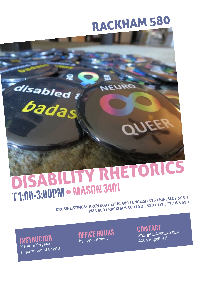# RACKHAM 580

OU

**JRUAC** 



CROSS-LISTINGS: **ARCH 609 / EDUC 580 / ENGLISH 528 / KINESLGY 505 / PMR 580 / RACKHAM 580 / SOC 580 / SW 572 / WS 590**

INSTRUCTOR Melanie Yergeau Department of English

disabled?

OFFICE HOURS by appointmen<sup>t</sup>

C[ONTAC](mailto:myergeau@umich.edu)T [myergeau](mailto:myergeau@umich.edu)@umic[h](mailto:myergeau@umich.edu).e[du](mailto:myergeau@umich.edu) 4204 Angell Hall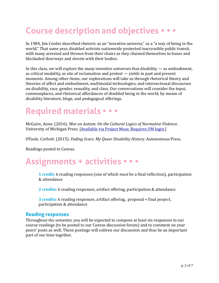# **Course description and objectives • • •**

In 1984, Jim Corder described rhetoric as an "inventive universe," as a "a way of being in the world." That same year, disabled activists nationwide protested inaccessible public transit, with many arrested and thrown from their chairs as they chained themselves to buses and blockaded doorways and streets with their bodies.

In this class, we will explore the many inventive universes that disability  $-$  as embodiment, as critical modality, as site of reclamation and protest  $-$  yields in past and present moments. Among other items, our explorations will take us through rhetorical theory and theories of affect and embodiment, multimodal technologies, and intersectional discourses on disability, race, gender, sexuality, and class. Our conversations will consider the topoi, commonplaces, and rhetorical affordances of disabled being in the world, by means of disability literature, blogs, and pedagogical offerings.

## **Required materials • • •**

McGuire, Anne. (2016). *War on Autism: On the Cultural Logics of Normative Violence.* University of Michigan Press. [Available via Project Muse. Requires UM login.]

OToole, Corbett. (2015). *Fading Scars: My Queer Disability History*. Autonomous Press.

Readings posted to Canvas.

### **Assignments + activities • • •**

**1 credit:** 6 reading responses (one of which *must* be a final reflection), participation & attendance

**2** credits: 6 reading responses, artifact offering, participation & attendance

**3** credits: 6 reading responses, artifact offering, proposal + final project, participation & attendance

#### **Reading responses**

Throughout the semester, you will be expected to compose at least six responses to our course readings (to be posted to our Canvas discussion forum) and to comment on your peers' posts as well. These postings will enliven our discussion and thus be an important part of our time together.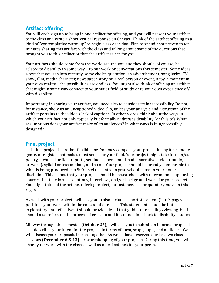#### **Artifact offering**

You will each sign up to bring in one artifact for offering, and you will present your artifact to the class and write a short, critical response on Canvas. Think of the artifact offering as a kind of "contemplative warm up" to begin class each day. Plan to spend about seven to ten minutes sharing this artifact with the class and talking about some of the questions that brought you to this artifact or that the artifact raises for you.

Your artifacts should come from the world around you and they should, of course, be related to disability in some way—to our work or conversations this semester. Some ideas: a text that you ran into recently, some choice quotation, an advertisement, song lyrics, TV show, film, media character, newspaper story on a real person or event, a toy, a moment in your own reality... the possibilities are endless. You might also think of offering an artifact that might in some way connect to your major field of study or to your own experience of/ with disability.

Importantly, in sharing your artifact, you need also to consider its in/accessibility. Do not, for instance, show us an uncaptioned video clip, unless your analysis and discussion of the artifact pertains to the video's lack of captions. In other words, think about the ways in which your artifact not only topically but formally addresses disability (or fails to). What assumptions does your artifact make of its audiences? In what ways is it in/accessibly designed? 

#### **Final project**

This final project is a rather flexible one. You may compose your project in any form, mode, genre, or register that makes most sense for your field. Your project might take form in/as poetry, technical or field reports, seminar papers, multimodal narratives (video, audio, artwork), syllabi or lesson plans, and so on. Your project should be broadly comparable to what is being produced in a 500-level (i.e., intro to grad school) class in your home discipline. This means that your project should be researched, with relevant and supporting sources that take form as citations, interviews, and/or background work for your project. You might think of the artifact offering project, for instance, as a preparatory move in this regard. 

As well, with your project I will ask you to also include a short statement (2 to 3 pages) that positions your work within the context of our class. This statement should be both explanatory and reflective: It should provide detail that guides our reading/viewing, but it should also reflect on the process of creation and its connections back to disability studies.

Midway through the semester **(October 25)**, I will ask you to submit an informal proposal that describes your intent for the project, in terms of form, scope, topic, and audience. We will discuss your proposals in class together. As well, I have reserved our last two class sessions (December 6 & 13) for workshopping of your projects. During this time, you will share your work with the class, as well as offer feedback for your peers.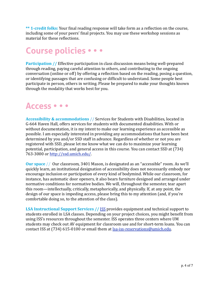\*\* 1-credit folks: Your final reading response will take form as a reflection on the course, including some of your peers' final projects. You may use these workshop sessions as material for these reflections.

# **Course policies • • •**

**Participation** // Effective participation in class discussion means being well-prepared through reading, paying careful attention to others, and contributing to the ongoing conversation (online or off) by offering a reflection based on the reading, posing a question, or identifying passages that are confusing or difficult to understand. Some people best participate in person, others in writing. Please be prepared to make your thoughts known through the modality that works best for you.

### **Access • • •**

**Accessibility & accommodations** // Services for Students with Disabilities, located in G-664 Haven Hall, offers services for students with documented disabilities. With or without documentation, it is my intent to make our learning experience as accessible as possible. I am especially interested in providing any accommodations that have been best determined by you and/or SSD staff in advance. Regardless of whether or not you are registered with SSD, please let me know what we can do to maximize your learning potential, participation, and general access in this course. You can contact SSD at (734) 763-3000 or http://ssd.umich.edu/.

**Our space** // Our classroom, 3401 Mason, is designated as an "accessible" room. As we'll quickly learn, an institutional designation of accessibility does not necessarily embody nor encourage inclusion or participation of every kind of bodymind. While our classroom, for instance, has automatic door openers, it also bears furniture designed and arranged under normative conditions for normative bodies. We will, throughout the semester, tear apart this room—intellectually, critically, metaphorically, and physically. If, at any point, the design of our space is impeding access, please bring this to my attention (and, if you're comfortable doing so, to the attention of the class).

**LSA Instructional Support Services // ISS provides equipment and technical support to** students enrolled in LSA classes. Depending on your project choices, you might benefit from using ISS's resources throughout the semester. ISS operates three centers where UM students may check out AV equipment for classroom use and for short-term loans. You can contact ISS at (734) 615-0100 or email them at [lsa-iss-reservations@umich.edu.](mailto:lsa-iss-reservations@umich.edu)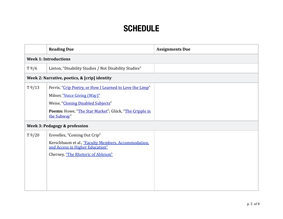### **SCHEDULE**

|                                               | <b>Reading Due</b>                                                                                                                                           | <b>Assignments Due</b> |  |  |
|-----------------------------------------------|--------------------------------------------------------------------------------------------------------------------------------------------------------------|------------------------|--|--|
| <b>Week 1: Introductions</b>                  |                                                                                                                                                              |                        |  |  |
| T9/6                                          | Linton, "Disability Studies / Not Disability Studies"                                                                                                        |                        |  |  |
| Week 2: Narrative, poetics, & [crip] identity |                                                                                                                                                              |                        |  |  |
| T9/13                                         | Ferris, "Crip Poetry, or How I Learned to Love the Limp"<br>Milner, "Voice Giving (Way)"                                                                     |                        |  |  |
|                                               | Weise, "Cloning Disabled Subjects"                                                                                                                           |                        |  |  |
|                                               | Poems: Howe, "The Star Market"; Glück, "The Cripple in<br>the Subway"                                                                                        |                        |  |  |
| Week 3: Pedagogy & profession                 |                                                                                                                                                              |                        |  |  |
| T9/20                                         | Erevelles, "Coming Out Crip"<br>Kerschbaum et al., "Faculty Members, Accommodation,<br>and Access in Higher Education"<br>Cherney, "The Rhetoric of Ableism" |                        |  |  |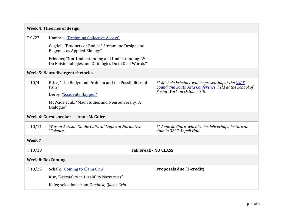| <b>Week 4: Theories of design</b>    |                                                                                                              |                                                                                                                                             |  |  |  |
|--------------------------------------|--------------------------------------------------------------------------------------------------------------|---------------------------------------------------------------------------------------------------------------------------------------------|--|--|--|
| T9/27                                | Hamraie, "Designing Collective Access"                                                                       |                                                                                                                                             |  |  |  |
|                                      | Cogdell, "Products or Bodies? Streamline Design and<br>Eugenics as Applied Biology"                          |                                                                                                                                             |  |  |  |
|                                      | Friedner, "Not-Understanding and Understanding: What<br>Do Epistemologies and Ontologies Do in Deaf Worlds?" |                                                                                                                                             |  |  |  |
| Week 5: Neurodivergent rhetorics     |                                                                                                              |                                                                                                                                             |  |  |  |
| T10/4                                | Price, "The Bodymind Problem and the Possibilities of<br>Pain"                                               | ** Michele Friedner will be presenting at the CSAS<br>Sound and South Asia Conference, held at the School of<br>Social Work on October 7-8. |  |  |  |
|                                      | Derby, "Accidents Happen"                                                                                    |                                                                                                                                             |  |  |  |
|                                      | McWade et al., "Mad Studies and Neurodiversity: A<br>Dialogue"                                               |                                                                                                                                             |  |  |  |
| Week 6: Guest speaker - Anne McGuire |                                                                                                              |                                                                                                                                             |  |  |  |
| T10/11                               | War on Autism: On the Cultural Logics of Normative<br>Violence                                               | ** Anne McGuire will also be delivering a lecture at<br>4pm in 3222 Angell Hall                                                             |  |  |  |
| Week 7                               |                                                                                                              |                                                                                                                                             |  |  |  |
| T10/18                               | <b>Fall break - NO CLASS</b>                                                                                 |                                                                                                                                             |  |  |  |
| <b>Week 8: Be/Coming</b>             |                                                                                                              |                                                                                                                                             |  |  |  |
| T10/25                               | Schalk, "Coming to Claim Crip"                                                                               | Proposals due (3-credit)                                                                                                                    |  |  |  |
|                                      | Kim, "Asexuality in Disability Narratives"                                                                   |                                                                                                                                             |  |  |  |
|                                      | Kafer, selections from Feminist, Queer, Crip                                                                 |                                                                                                                                             |  |  |  |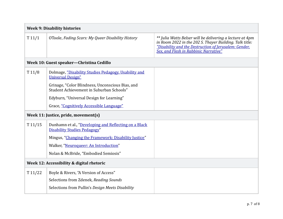| <b>Week 9: Disability histories</b>       |                                                                                              |                                                                                                                                                                                                                        |  |  |
|-------------------------------------------|----------------------------------------------------------------------------------------------|------------------------------------------------------------------------------------------------------------------------------------------------------------------------------------------------------------------------|--|--|
| T11/1                                     | OToole, Fading Scars: My Queer Disability History                                            | ** Julia Watts Belser will be delivering a lecture at 4pm<br>in Room 2022 in the 202 S. Thayer Building. Talk title:<br>"Disability and the Destruction of Jerusalem: Gender,<br>Sex, and Flesh in Rabbinic Narrative" |  |  |
| Week 10: Guest speaker-Christina Cedillo  |                                                                                              |                                                                                                                                                                                                                        |  |  |
| T11/8                                     | Dolmage, "Disability Studies Pedagogy, Usability and<br><b>Universal Design"</b>             |                                                                                                                                                                                                                        |  |  |
|                                           | Grinage, "Color Blindness, Unconscious Bias, and<br>Student Achievement in Suburban Schools" |                                                                                                                                                                                                                        |  |  |
|                                           | Edyburn, "Universal Design for Learning"                                                     |                                                                                                                                                                                                                        |  |  |
|                                           | Grace, "Cognitively Accessible Language"                                                     |                                                                                                                                                                                                                        |  |  |
| Week 11: Justice, pride, movement(s)      |                                                                                              |                                                                                                                                                                                                                        |  |  |
| T11/15                                    | Dunhamn et al., "Developing and Reflecting on a Black<br><b>Disability Studies Pedagogy"</b> |                                                                                                                                                                                                                        |  |  |
|                                           | Mingus, "Changing the Framework: Disability Justice"                                         |                                                                                                                                                                                                                        |  |  |
|                                           | Walker, "Neuroqueer: An Introduction"                                                        |                                                                                                                                                                                                                        |  |  |
|                                           | Nolan & McBride, "Embodied Semiosis"                                                         |                                                                                                                                                                                                                        |  |  |
| Week 12: Accessibility & digital rhetoric |                                                                                              |                                                                                                                                                                                                                        |  |  |
| T11/22                                    | Boyle & Rivers, "A Version of Access"                                                        |                                                                                                                                                                                                                        |  |  |
|                                           | Selections from Zdenek, Reading Sounds                                                       |                                                                                                                                                                                                                        |  |  |
|                                           | Selections from Pullin's Design Meets Disability                                             |                                                                                                                                                                                                                        |  |  |